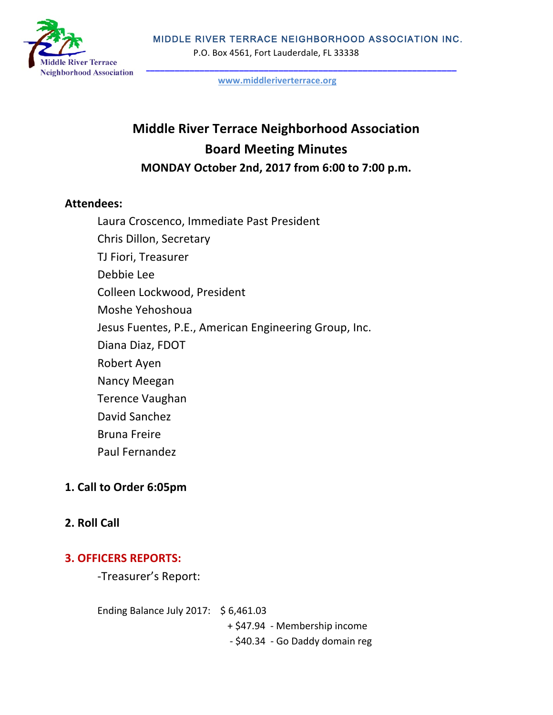

#### MIDDLE RIVER TERRACE NEIGHBORHOOD ASSOCIATION INC.

P.O. Box 4561, Fort Lauderdale, FL 33338

**www.middleriverterrace.org**

# **Middle River Terrace Neighborhood Association Board Meeting Minutes MONDAY October 2nd, 2017 from 6:00 to 7:00 p.m.**

#### **Attendees:**

Laura Croscenco, Immediate Past President Chris Dillon, Secretary TJ Fiori, Treasurer Debbie Lee Colleen Lockwood, President Moshe Yehoshoua Jesus Fuentes, P.E., American Engineering Group, Inc. Diana Diaz, FDOT Robert Ayen Nancy Meegan Terence Vaughan David Sanchez Bruna Freire Paul Fernandez

### **1. Call to Order 6:05pm**

### **2. Roll Call**

### **3. OFFICERS REPORTS:**

-Treasurer's Report:

Ending Balance July 2017:  $$6,461.03$ 

+ \$47.94 - Membership income

- \$40.34 - Go Daddy domain reg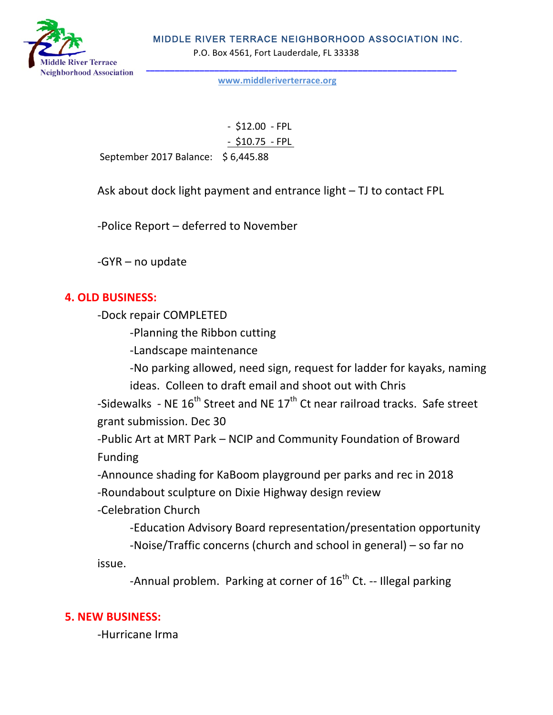

P.O. Box 4561, Fort Lauderdale, FL 33338



**www.middleriverterrace.org**

 $- $12.00 - FPL$ - \$10.75 - FPL

September 2017 Balance: \$6,445.88

Ask about dock light payment and entrance light  $-$  TJ to contact FPL

-Police Report – deferred to November

 $-GYR$  – no update

#### **4. OLD BUSINESS:**

-Dock repair COMPLETED

-Planning the Ribbon cutting

-Landscape maintenance

-No parking allowed, need sign, request for ladder for kayaks, naming ideas. Colleen to draft email and shoot out with Chris

-Sidewalks - NE  $16^{th}$  Street and NE  $17^{th}$  Ct near railroad tracks. Safe street grant submission. Dec 30

-Public Art at MRT Park – NCIP and Community Foundation of Broward Funding

-Announce shading for KaBoom playground per parks and rec in 2018

-Roundabout sculpture on Dixie Highway design review

-Celebration Church 

-Education Advisory Board representation/presentation opportunity

-Noise/Traffic concerns (church and school in general) – so far no

issue.

-Annual problem. Parking at corner of  $16^{th}$  Ct. -- Illegal parking

### **5. NEW BUSINESS:**

-Hurricane Irma